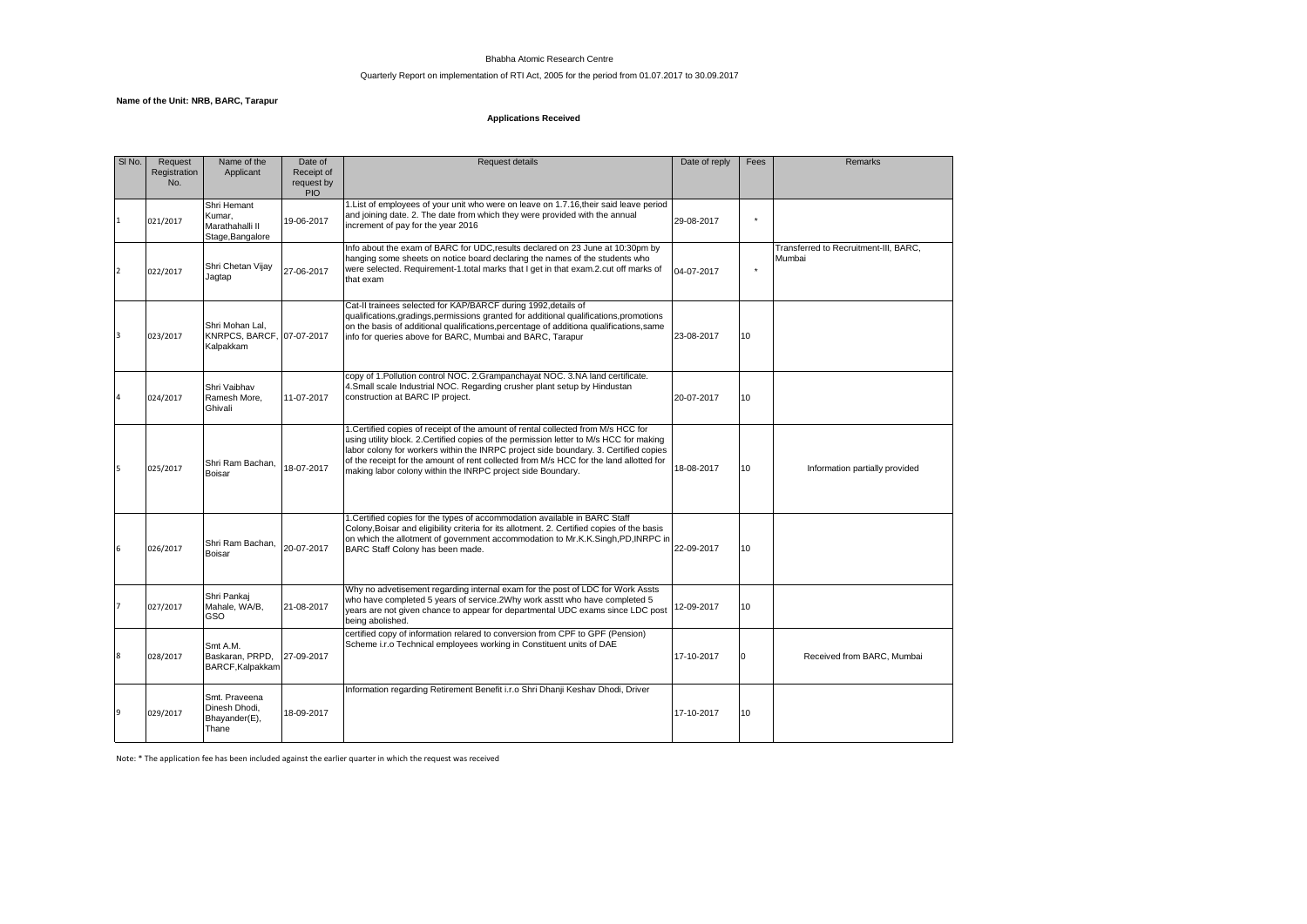## Bhabha Atomic Research Centre

# Quarterly Report on implementation of RTI Act, 2005 for the period from 01.07.2017 to 30.09.2017

#### **Name of the Unit: NRB, BARC, Tarapur**

# **Applications Received**

| SINO.          | Request<br>Registration<br>No. | Name of the<br>Applicant                                     | Date of<br>Receipt of<br>request by<br>PIO | <b>Request details</b>                                                                                                                                                                                                                                                                                                                                                                                                        | Date of reply | Fees     | Remarks                                         |
|----------------|--------------------------------|--------------------------------------------------------------|--------------------------------------------|-------------------------------------------------------------------------------------------------------------------------------------------------------------------------------------------------------------------------------------------------------------------------------------------------------------------------------------------------------------------------------------------------------------------------------|---------------|----------|-------------------------------------------------|
| $\mathbf{1}$   | 021/2017                       | Shri Hemant<br>Kumar.<br>Marathahalli II<br>Stage, Bangalore | 19-06-2017                                 | 1. List of employees of your unit who were on leave on 1.7.16, their said leave period<br>and joining date. 2. The date from which they were provided with the annual<br>increment of pay for the year 2016                                                                                                                                                                                                                   | 29-08-2017    | ٠        |                                                 |
| $\overline{2}$ | 022/2017                       | Shri Chetan Vijay<br>Jagtap                                  | 27-06-2017                                 | Info about the exam of BARC for UDC, results declared on 23 June at 10:30pm by<br>hanging some sheets on notice board declaring the names of the students who<br>were selected. Requirement-1.total marks that I get in that exam.2.cut off marks of<br>that exam                                                                                                                                                             | 04-07-2017    |          | Transferred to Recruitment-III, BARC,<br>Mumbai |
| 3              | 023/2017                       | Shri Mohan Lal.<br>KNRPCS, BARCF, 07-07-2017<br>Kalpakkam    |                                            | Cat-II trainees selected for KAP/BARCF during 1992, details of<br>qualifications, gradings, permissions granted for additional qualifications, promotions<br>on the basis of additional qualifications, percentage of additiona qualifications, same<br>info for queries above for BARC, Mumbai and BARC, Tarapur                                                                                                             | 23-08-2017    | 10       |                                                 |
|                | 024/2017                       | Shri Vaibhav<br>Ramesh More,<br>Ghivali                      | 11-07-2017                                 | copy of 1. Pollution control NOC. 2. Grampanchayat NOC. 3. NA land certificate.<br>4. Small scale Industrial NOC. Regarding crusher plant setup by Hindustan<br>construction at BARC IP project.                                                                                                                                                                                                                              | 20-07-2017    | 10       |                                                 |
| 5              | 025/2017                       | Shri Ram Bachan.<br>Boisar                                   | 18-07-2017                                 | 1. Certified copies of receipt of the amount of rental collected from M/s HCC for<br>using utility block. 2. Certified copies of the permission letter to M/s HCC for making<br>labor colony for workers within the INRPC project side boundary. 3. Certified copies<br>of the receipt for the amount of rent collected from M/s HCC for the land allotted for<br>making labor colony within the INRPC project side Boundary. | 18-08-2017    | 10       | Information partially provided                  |
| 6              | 026/2017                       | Shri Ram Bachan,<br>Boisar                                   | 20-07-2017                                 | 1. Certified copies for the types of accommodation available in BARC Staff<br>Colony. Boisar and eligibility criteria for its allotment, 2. Certified copies of the basis<br>on which the allotment of government accommodation to Mr.K.K.Singh, PD, INRPC in<br>BARC Staff Colony has been made.                                                                                                                             | 22-09-2017    | 10       |                                                 |
|                | 027/2017                       | Shri Pankai<br>Mahale, WA/B,<br>GSO                          | 21-08-2017                                 | Why no advetisement regarding internal exam for the post of LDC for Work Assts<br>who have completed 5 years of service.2Why work asstt who have completed 5<br>years are not given chance to appear for departmental UDC exams since LDC post<br>being abolished.                                                                                                                                                            | 12-09-2017    | 10       |                                                 |
| 8              | 028/2017                       | Smt A.M.<br>Baskaran, PRPD,<br>BARCF, Kalpakkam              | 27-09-2017                                 | certified copy of information relared to conversion from CPF to GPF (Pension)<br>Scheme i.r.o Technical employees working in Constituent units of DAE                                                                                                                                                                                                                                                                         | 17-10-2017    | $\Omega$ | Received from BARC, Mumbai                      |
| 9              | 029/2017                       | Smt. Praveena<br>Dinesh Dhodi.<br>Bhayander(E),<br>Thane     | 18-09-2017                                 | Information regarding Retirement Benefit i.r.o Shri Dhanji Keshav Dhodi, Driver                                                                                                                                                                                                                                                                                                                                               | 17-10-2017    | 10       |                                                 |

Note: \* The application fee has been included against the earlier quarter in which the request was received